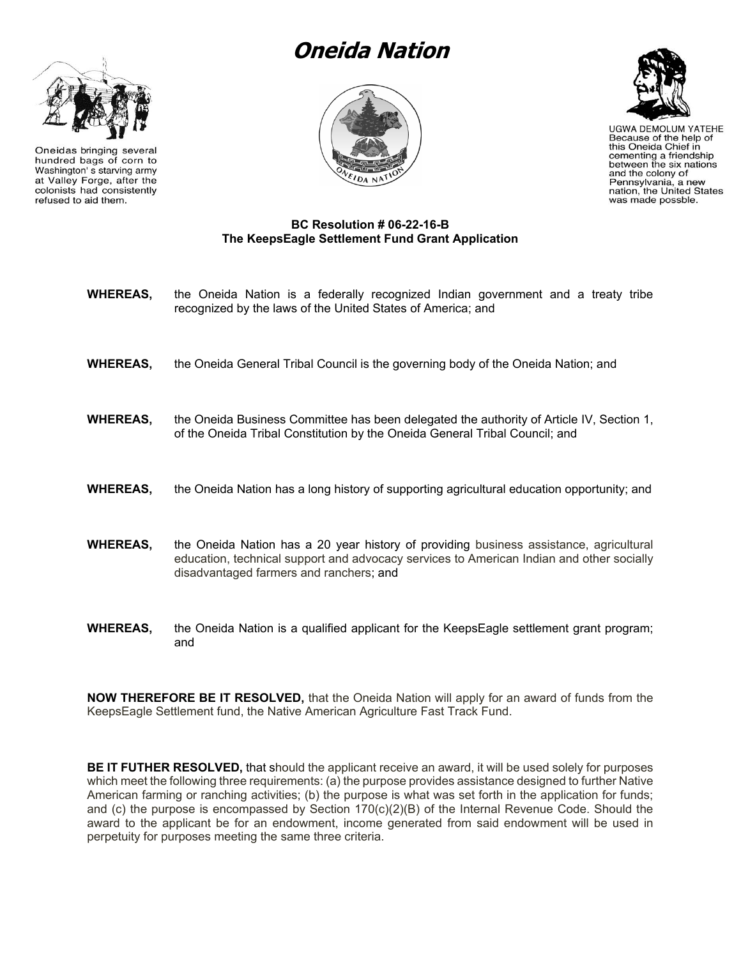## **Oneida Nation**



Oneidas bringing several hundred bags of corn to Washington's starving army at Valley Forge, after the colonists had consistently refused to aid them.





**UGWA DEMOLUM YATEHE** Because of the help of this Oneida Chief in cementing a friendship between the six nations and the colony of Pennsylvania, a new<br>nation, the United States was made possble.

## **BC Resolution # 06-22-16-B The KeepsEagle Settlement Fund Grant Application**

- **WHEREAS,** the Oneida Nation is a federally recognized Indian government and a treaty tribe recognized by the laws of the United States of America; and
- **WHEREAS,** the Oneida General Tribal Council is the governing body of the Oneida Nation; and
- **WHEREAS,** the Oneida Business Committee has been delegated the authority of Article IV, Section 1, of the Oneida Tribal Constitution by the Oneida General Tribal Council; and
- **WHEREAS,** the Oneida Nation has a long history of supporting agricultural education opportunity; and
- **WHEREAS,** the Oneida Nation has a 20 year history of providing business assistance, agricultural education, technical support and advocacy services to American Indian and other socially disadvantaged farmers and ranchers; and
- **WHEREAS,** the Oneida Nation is a qualified applicant for the KeepsEagle settlement grant program; and

**NOW THEREFORE BE IT RESOLVED,** that the Oneida Nation will apply for an award of funds from the KeepsEagle Settlement fund, the Native American Agriculture Fast Track Fund.

**BE IT FUTHER RESOLVED,** that should the applicant receive an award, it will be used solely for purposes which meet the following three requirements: (a) the purpose provides assistance designed to further Native American farming or ranching activities; (b) the purpose is what was set forth in the application for funds; and (c) the purpose is encompassed by Section 170(c)(2)(B) of the Internal Revenue Code. Should the award to the applicant be for an endowment, income generated from said endowment will be used in perpetuity for purposes meeting the same three criteria.